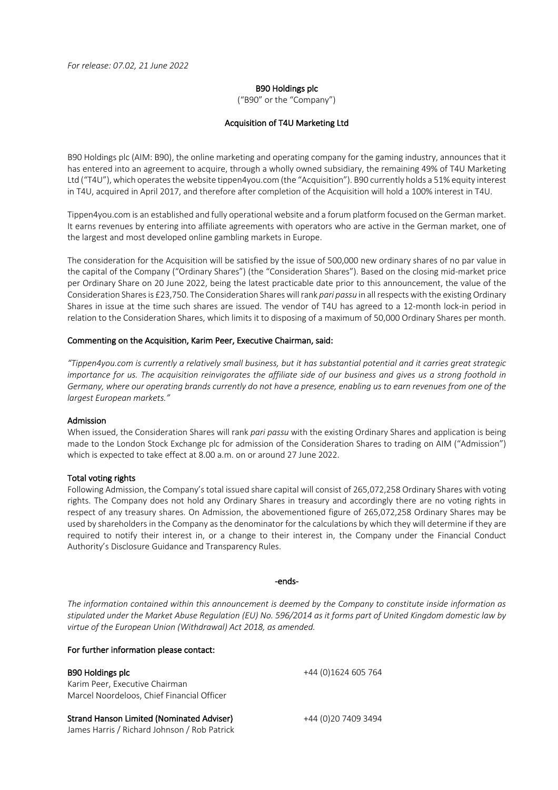## B90 Holdings plc

("B90" or the "Company")

## Acquisition of T4U Marketing Ltd

B90 Holdings plc (AIM: B90), the online marketing and operating company for the gaming industry, announces that it has entered into an agreement to acquire, through a wholly owned subsidiary, the remaining 49% of T4U Marketing Ltd ("T4U"), which operates the website tippen4you.com (the "Acquisition"). B90 currently holds a 51% equity interest in T4U, acquired in April 2017, and therefore after completion of the Acquisition will hold a 100% interest in T4U.

Tippen4you.com is an established and fully operational website and a forum platform focused on the German market. It earns revenues by entering into affiliate agreements with operators who are active in the German market, one of the largest and most developed online gambling markets in Europe.

The consideration for the Acquisition will be satisfied by the issue of 500,000 new ordinary shares of no par value in the capital of the Company ("Ordinary Shares") (the "Consideration Shares"). Based on the closing mid-market price per Ordinary Share on 20 June 2022, being the latest practicable date prior to this announcement, the value of the Consideration Shares is £23,750. The Consideration Shares will rank *pari passu* in all respects with the existing Ordinary Shares in issue at the time such shares are issued. The vendor of T4U has agreed to a 12-month lock-in period in relation to the Consideration Shares, which limits it to disposing of a maximum of 50,000 Ordinary Shares per month.

## Commenting on the Acquisition, Karim Peer, Executive Chairman, said:

*"Tippen4you.com is currently a relatively small business, but it has substantial potential and it carries great strategic importance for us. The acquisition reinvigorates the affiliate side of our business and gives us a strong foothold in Germany, where our operating brands currently do not have a presence, enabling us to earn revenues from one of the largest European markets."*

#### Admission

When issued, the Consideration Shares will rank *pari passu* with the existing Ordinary Shares and application is being made to the London Stock Exchange plc for admission of the Consideration Shares to trading on AIM ("Admission") which is expected to take effect at 8.00 a.m. on or around 27 June 2022.

#### Total voting rights

Following Admission, the Company's total issued share capital will consist of 265,072,258 Ordinary Shares with voting rights. The Company does not hold any Ordinary Shares in treasury and accordingly there are no voting rights in respect of any treasury shares. On Admission, the abovementioned figure of 265,072,258 Ordinary Shares may be used by shareholders in the Company as the denominator for the calculations by which they will determine if they are required to notify their interest in, or a change to their interest in, the Company under the Financial Conduct Authority's Disclosure Guidance and Transparency Rules.

#### -ends-

*The information contained within this announcement is deemed by the Company to constitute inside information as stipulated under the Market Abuse Regulation (EU) No. 596/2014 as it forms part of United Kingdom domestic law by virtue of the European Union (Withdrawal) Act 2018, as amended.*

## For further information please contact:

| <b>B90 Holdings plc</b><br>Karim Peer, Executive Chairman<br>Marcel Noordeloos, Chief Financial Officer | +44 (0)1624 605 764 |
|---------------------------------------------------------------------------------------------------------|---------------------|
|                                                                                                         |                     |